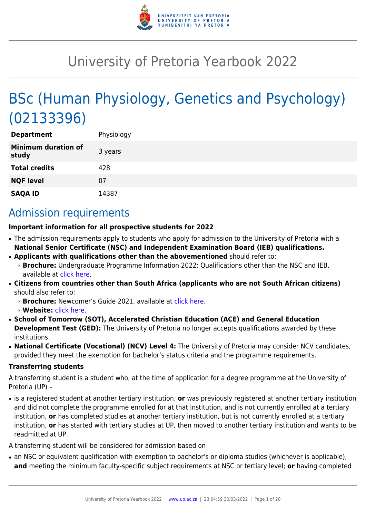

# University of Pretoria Yearbook 2022

# BSc (Human Physiology, Genetics and Psychology) (02133396)

| <b>Department</b>                   | Physiology |
|-------------------------------------|------------|
| <b>Minimum duration of</b><br>study | 3 years    |
| <b>Total credits</b>                | 428        |
| <b>NQF level</b>                    | 07         |
| <b>SAQA ID</b>                      | 14387      |

# Admission requirements

#### **Important information for all prospective students for 2022**

- The admission requirements apply to students who apply for admission to the University of Pretoria with a **National Senior Certificate (NSC) and Independent Examination Board (IEB) qualifications.**
- **Applicants with qualifications other than the abovementioned** should refer to: ❍ **Brochure:** Undergraduate Programme Information 2022: Qualifications other than the NSC and IEB, available at [click here.](https://www.up.ac.za/students/article/2749263/admission-information)
- **Citizens from countries other than South Africa (applicants who are not South African citizens)** should also refer to:
	- ❍ **Brochure:** Newcomer's Guide 2021, available at [click here.](https://www.up.ac.za/students/article/2749263/admission-information)
	- ❍ **Website:** [click here](http://www.up.ac.za/international-cooperation-division).
- **School of Tomorrow (SOT), Accelerated Christian Education (ACE) and General Education Development Test (GED):** The University of Pretoria no longer accepts qualifications awarded by these institutions.
- **National Certificate (Vocational) (NCV) Level 4:** The University of Pretoria may consider NCV candidates, provided they meet the exemption for bachelor's status criteria and the programme requirements.

#### **Transferring students**

A transferring student is a student who, at the time of application for a degree programme at the University of Pretoria (UP) –

● is a registered student at another tertiary institution, **or** was previously registered at another tertiary institution and did not complete the programme enrolled for at that institution, and is not currently enrolled at a tertiary institution, **or** has completed studies at another tertiary institution, but is not currently enrolled at a tertiary institution, **or** has started with tertiary studies at UP, then moved to another tertiary institution and wants to be readmitted at UP.

A transferring student will be considered for admission based on

• an NSC or equivalent qualification with exemption to bachelor's or diploma studies (whichever is applicable); **and** meeting the minimum faculty-specific subject requirements at NSC or tertiary level; **or** having completed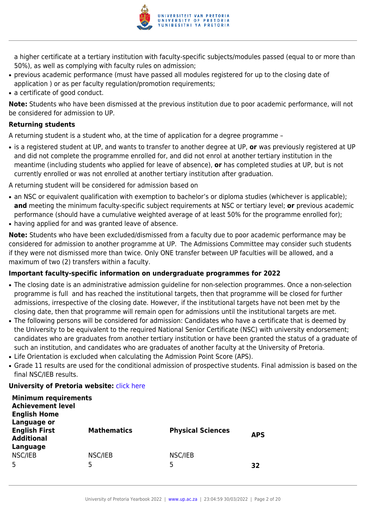

a higher certificate at a tertiary institution with faculty-specific subjects/modules passed (equal to or more than 50%), as well as complying with faculty rules on admission;

- previous academic performance (must have passed all modules registered for up to the closing date of application ) or as per faculty regulation/promotion requirements;
- a certificate of good conduct.

**Note:** Students who have been dismissed at the previous institution due to poor academic performance, will not be considered for admission to UP.

#### **Returning students**

A returning student is a student who, at the time of application for a degree programme –

● is a registered student at UP, and wants to transfer to another degree at UP, **or** was previously registered at UP and did not complete the programme enrolled for, and did not enrol at another tertiary institution in the meantime (including students who applied for leave of absence), **or** has completed studies at UP, but is not currently enrolled or was not enrolled at another tertiary institution after graduation.

A returning student will be considered for admission based on

- an NSC or equivalent qualification with exemption to bachelor's or diploma studies (whichever is applicable); **and** meeting the minimum faculty-specific subject requirements at NSC or tertiary level; **or** previous academic performance (should have a cumulative weighted average of at least 50% for the programme enrolled for);
- having applied for and was granted leave of absence.

**Note:** Students who have been excluded/dismissed from a faculty due to poor academic performance may be considered for admission to another programme at UP. The Admissions Committee may consider such students if they were not dismissed more than twice. Only ONE transfer between UP faculties will be allowed, and a maximum of two (2) transfers within a faculty.

#### **Important faculty-specific information on undergraduate programmes for 2022**

- The closing date is an administrative admission guideline for non-selection programmes. Once a non-selection programme is full and has reached the institutional targets, then that programme will be closed for further admissions, irrespective of the closing date. However, if the institutional targets have not been met by the closing date, then that programme will remain open for admissions until the institutional targets are met.
- The following persons will be considered for admission: Candidates who have a certificate that is deemed by the University to be equivalent to the required National Senior Certificate (NSC) with university endorsement; candidates who are graduates from another tertiary institution or have been granted the status of a graduate of such an institution, and candidates who are graduates of another faculty at the University of Pretoria.
- Life Orientation is excluded when calculating the Admission Point Score (APS).
- Grade 11 results are used for the conditional admission of prospective students. Final admission is based on the final NSC/IEB results.

#### **University of Pretoria website: [click here](http://www.up.ac.za/nas)**

| <b>Minimum requirements</b><br><b>Achievement level</b><br><b>English Home</b> |                    |                          |            |
|--------------------------------------------------------------------------------|--------------------|--------------------------|------------|
| Language or<br><b>English First</b><br><b>Additional</b><br>Language           | <b>Mathematics</b> | <b>Physical Sciences</b> | <b>APS</b> |
| NSC/IEB<br>5                                                                   | NSC/IEB<br>5       | NSC/IEB<br>5             | 32         |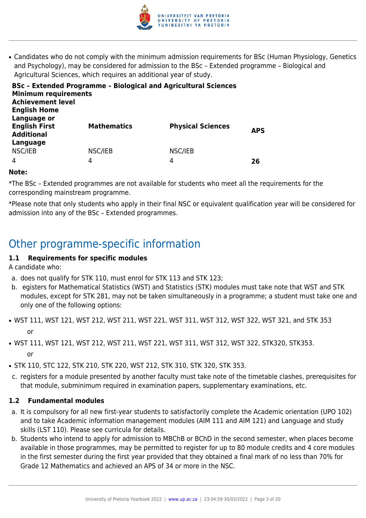

• Candidates who do not comply with the minimum admission requirements for BSc (Human Physiology, Genetics and Psychology), may be considered for admission to the BSc – Extended programme – Biological and Agricultural Sciences, which requires an additional year of study.

| <b>Minimum requirements</b><br><b>Achievement level</b><br><b>English Home</b> | <b>BSc - Extended Programme - Biological and Agricultural Sciences</b> |                          |            |
|--------------------------------------------------------------------------------|------------------------------------------------------------------------|--------------------------|------------|
| Language or<br><b>English First</b><br><b>Additional</b>                       | <b>Mathematics</b>                                                     | <b>Physical Sciences</b> | <b>APS</b> |
| Language<br>NSC/IEB<br>$\overline{4}$                                          | NSC/IEB<br>4                                                           | NSC/IEB<br>4             | 26         |

#### **Note:**

\*The BSc – Extended programmes are not available for students who meet all the requirements for the corresponding mainstream programme.

\*Please note that only students who apply in their final NSC or equivalent qualification year will be considered for admission into any of the BSc – Extended programmes.

# Other programme-specific information

#### **1.1 Requirements for specific modules**

A candidate who:

- a. does not qualify for STK 110, must enrol for STK 113 and STK 123;
- b. egisters for Mathematical Statistics (WST) and Statistics (STK) modules must take note that WST and STK modules, except for STK 281, may not be taken simultaneously in a programme; a student must take one and only one of the following options:
- WST 111, WST 121, WST 212, WST 211, WST 221, WST 311, WST 312, WST 322, WST 321, and STK 353 or
- WST 111, WST 121, WST 212, WST 211, WST 221, WST 311, WST 312, WST 322, STK320, STK353. or
- STK 110, STC 122, STK 210, STK 220, WST 212, STK 310, STK 320, STK 353.
- c. registers for a module presented by another faculty must take note of the timetable clashes, prerequisites for that module, subminimum required in examination papers, supplementary examinations, etc.

#### **1.2 Fundamental modules**

- a. It is compulsory for all new first-year students to satisfactorily complete the Academic orientation (UPO 102) and to take Academic information management modules (AIM 111 and AIM 121) and Language and study skills (LST 110). Please see curricula for details.
- b. Students who intend to apply for admission to MBChB or BChD in the second semester, when places become available in those programmes, may be permitted to register for up to 80 module credits and 4 core modules in the first semester during the first year provided that they obtained a final mark of no less than 70% for Grade 12 Mathematics and achieved an APS of 34 or more in the NSC.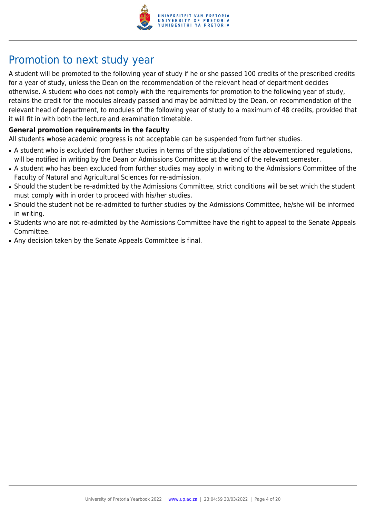

# Promotion to next study year

A student will be promoted to the following year of study if he or she passed 100 credits of the prescribed credits for a year of study, unless the Dean on the recommendation of the relevant head of department decides otherwise. A student who does not comply with the requirements for promotion to the following year of study, retains the credit for the modules already passed and may be admitted by the Dean, on recommendation of the relevant head of department, to modules of the following year of study to a maximum of 48 credits, provided that it will fit in with both the lecture and examination timetable.

#### **General promotion requirements in the faculty**

All students whose academic progress is not acceptable can be suspended from further studies.

- A student who is excluded from further studies in terms of the stipulations of the abovementioned regulations, will be notified in writing by the Dean or Admissions Committee at the end of the relevant semester.
- A student who has been excluded from further studies may apply in writing to the Admissions Committee of the Faculty of Natural and Agricultural Sciences for re-admission.
- Should the student be re-admitted by the Admissions Committee, strict conditions will be set which the student must comply with in order to proceed with his/her studies.
- Should the student not be re-admitted to further studies by the Admissions Committee, he/she will be informed in writing.
- Students who are not re-admitted by the Admissions Committee have the right to appeal to the Senate Appeals Committee.
- Any decision taken by the Senate Appeals Committee is final.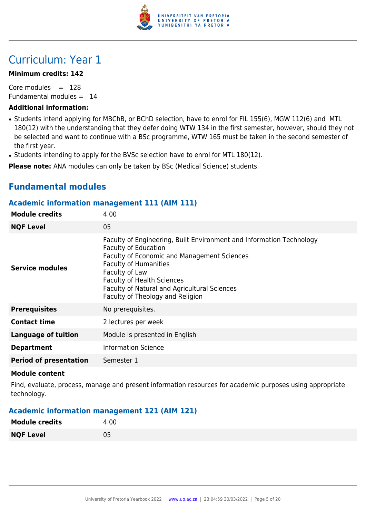

# Curriculum: Year 1

#### **Minimum credits: 142**

Core modules  $= 128$ Fundamental modules  $= 14$ 

#### **Additional information:**

- Students intend applying for MBChB, or BChD selection, have to enrol for FIL 155(6), MGW 112(6) and MTL 180(12) with the understanding that they defer doing WTW 134 in the first semester, however, should they not be selected and want to continue with a BSc programme, WTW 165 must be taken in the second semester of the first year.
- Students intending to apply for the BVSc selection have to enrol for MTL 180(12).

**Please note:** ANA modules can only be taken by BSc (Medical Science) students.

# **Fundamental modules**

#### **Academic information management 111 (AIM 111)**

| <b>Module credits</b>         | 4.00                                                                                                                                                                                                                                                                                                                          |
|-------------------------------|-------------------------------------------------------------------------------------------------------------------------------------------------------------------------------------------------------------------------------------------------------------------------------------------------------------------------------|
| <b>NQF Level</b>              | 05                                                                                                                                                                                                                                                                                                                            |
| Service modules               | Faculty of Engineering, Built Environment and Information Technology<br><b>Faculty of Education</b><br>Faculty of Economic and Management Sciences<br><b>Faculty of Humanities</b><br>Faculty of Law<br><b>Faculty of Health Sciences</b><br>Faculty of Natural and Agricultural Sciences<br>Faculty of Theology and Religion |
| <b>Prerequisites</b>          | No prerequisites.                                                                                                                                                                                                                                                                                                             |
| <b>Contact time</b>           | 2 lectures per week                                                                                                                                                                                                                                                                                                           |
| <b>Language of tuition</b>    | Module is presented in English                                                                                                                                                                                                                                                                                                |
| <b>Department</b>             | <b>Information Science</b>                                                                                                                                                                                                                                                                                                    |
| <b>Period of presentation</b> | Semester 1                                                                                                                                                                                                                                                                                                                    |

#### **Module content**

Find, evaluate, process, manage and present information resources for academic purposes using appropriate technology.

#### **Academic information management 121 (AIM 121)**

| <b>Module credits</b> | 4.00 |
|-----------------------|------|
| <b>NQF Level</b>      | 05   |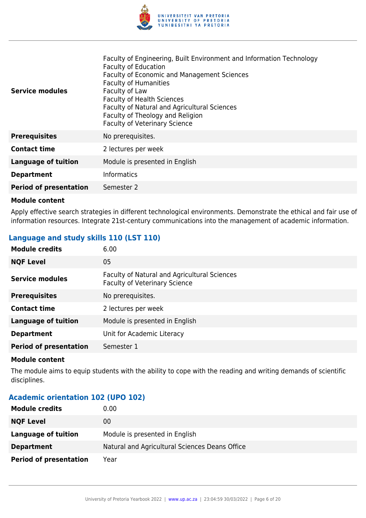

| <b>Service modules</b>        | Faculty of Engineering, Built Environment and Information Technology<br><b>Faculty of Education</b><br><b>Faculty of Economic and Management Sciences</b><br><b>Faculty of Humanities</b><br>Faculty of Law<br><b>Faculty of Health Sciences</b><br>Faculty of Natural and Agricultural Sciences<br>Faculty of Theology and Religion<br><b>Faculty of Veterinary Science</b> |
|-------------------------------|------------------------------------------------------------------------------------------------------------------------------------------------------------------------------------------------------------------------------------------------------------------------------------------------------------------------------------------------------------------------------|
| <b>Prerequisites</b>          | No prerequisites.                                                                                                                                                                                                                                                                                                                                                            |
| <b>Contact time</b>           | 2 lectures per week                                                                                                                                                                                                                                                                                                                                                          |
| <b>Language of tuition</b>    | Module is presented in English                                                                                                                                                                                                                                                                                                                                               |
| <b>Department</b>             | <b>Informatics</b>                                                                                                                                                                                                                                                                                                                                                           |
| <b>Period of presentation</b> | Semester 2                                                                                                                                                                                                                                                                                                                                                                   |

Apply effective search strategies in different technological environments. Demonstrate the ethical and fair use of information resources. Integrate 21st-century communications into the management of academic information.

#### **Language and study skills 110 (LST 110)**

| <b>Module credits</b>         | 6.00                                                                                 |
|-------------------------------|--------------------------------------------------------------------------------------|
| <b>NQF Level</b>              | 05                                                                                   |
| <b>Service modules</b>        | Faculty of Natural and Agricultural Sciences<br><b>Faculty of Veterinary Science</b> |
| <b>Prerequisites</b>          | No prerequisites.                                                                    |
| <b>Contact time</b>           | 2 lectures per week                                                                  |
| <b>Language of tuition</b>    | Module is presented in English                                                       |
| <b>Department</b>             | Unit for Academic Literacy                                                           |
| <b>Period of presentation</b> | Semester 1                                                                           |
|                               |                                                                                      |

#### **Module content**

The module aims to equip students with the ability to cope with the reading and writing demands of scientific disciplines.

# **Academic orientation 102 (UPO 102)**

| <b>Module credits</b>         | 0.00                                           |
|-------------------------------|------------------------------------------------|
| <b>NQF Level</b>              | 00                                             |
| Language of tuition           | Module is presented in English                 |
| <b>Department</b>             | Natural and Agricultural Sciences Deans Office |
| <b>Period of presentation</b> | Year                                           |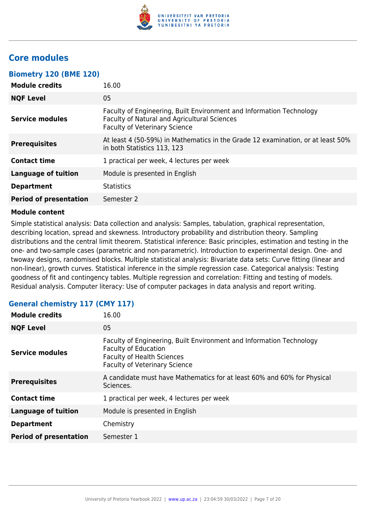

# **Core modules**

#### **Biometry 120 (BME 120)**

| <b>Module credits</b>         | 16.00                                                                                                                                                        |
|-------------------------------|--------------------------------------------------------------------------------------------------------------------------------------------------------------|
| <b>NQF Level</b>              | 05                                                                                                                                                           |
| <b>Service modules</b>        | Faculty of Engineering, Built Environment and Information Technology<br>Faculty of Natural and Agricultural Sciences<br><b>Faculty of Veterinary Science</b> |
| <b>Prerequisites</b>          | At least 4 (50-59%) in Mathematics in the Grade 12 examination, or at least 50%<br>in both Statistics 113, 123                                               |
| <b>Contact time</b>           | 1 practical per week, 4 lectures per week                                                                                                                    |
| <b>Language of tuition</b>    | Module is presented in English                                                                                                                               |
| <b>Department</b>             | <b>Statistics</b>                                                                                                                                            |
| <b>Period of presentation</b> | Semester 2                                                                                                                                                   |
|                               |                                                                                                                                                              |

#### **Module content**

Simple statistical analysis: Data collection and analysis: Samples, tabulation, graphical representation, describing location, spread and skewness. Introductory probability and distribution theory. Sampling distributions and the central limit theorem. Statistical inference: Basic principles, estimation and testing in the one- and two-sample cases (parametric and non-parametric). Introduction to experimental design. One- and twoway designs, randomised blocks. Multiple statistical analysis: Bivariate data sets: Curve fitting (linear and non-linear), growth curves. Statistical inference in the simple regression case. Categorical analysis: Testing goodness of fit and contingency tables. Multiple regression and correlation: Fitting and testing of models. Residual analysis. Computer literacy: Use of computer packages in data analysis and report writing.

#### **General chemistry 117 (CMY 117)**

| <b>Module credits</b>         | 16.00                                                                                                                                                                            |
|-------------------------------|----------------------------------------------------------------------------------------------------------------------------------------------------------------------------------|
| <b>NQF Level</b>              | 05                                                                                                                                                                               |
| <b>Service modules</b>        | Faculty of Engineering, Built Environment and Information Technology<br><b>Faculty of Education</b><br><b>Faculty of Health Sciences</b><br><b>Faculty of Veterinary Science</b> |
| <b>Prerequisites</b>          | A candidate must have Mathematics for at least 60% and 60% for Physical<br>Sciences.                                                                                             |
| <b>Contact time</b>           | 1 practical per week, 4 lectures per week                                                                                                                                        |
| <b>Language of tuition</b>    | Module is presented in English                                                                                                                                                   |
| <b>Department</b>             | Chemistry                                                                                                                                                                        |
| <b>Period of presentation</b> | Semester 1                                                                                                                                                                       |
|                               |                                                                                                                                                                                  |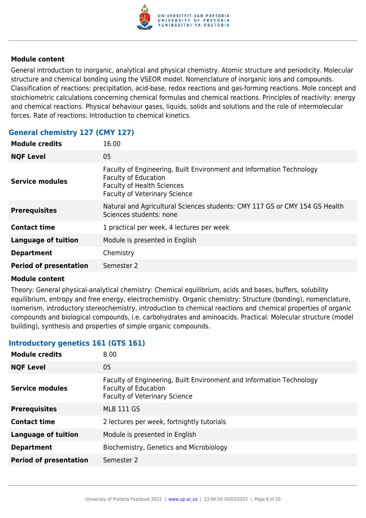

General introduction to inorganic, analytical and physical chemistry. Atomic structure and periodicity. Molecular structure and chemical bonding using the VSEOR model. Nomenclature of inorganic ions and compounds. Classification of reactions: precipitation, acid-base, redox reactions and gas-forming reactions. Mole concept and stoichiometric calculations concerning chemical formulas and chemical reactions. Principles of reactivity: energy and chemical reactions. Physical behaviour gases, liquids, solids and solutions and the role of intermolecular forces. Rate of reactions: Introduction to chemical kinetics.

#### **General chemistry 127 (CMY 127)**

| 16.00                                                                                                                                                                            |
|----------------------------------------------------------------------------------------------------------------------------------------------------------------------------------|
| 05                                                                                                                                                                               |
| Faculty of Engineering, Built Environment and Information Technology<br><b>Faculty of Education</b><br><b>Faculty of Health Sciences</b><br><b>Faculty of Veterinary Science</b> |
| Natural and Agricultural Sciences students: CMY 117 GS or CMY 154 GS Health<br>Sciences students: none                                                                           |
| 1 practical per week, 4 lectures per week                                                                                                                                        |
| Module is presented in English                                                                                                                                                   |
| Chemistry                                                                                                                                                                        |
| Semester 2                                                                                                                                                                       |
|                                                                                                                                                                                  |

#### **Module content**

Theory: General physical-analytical chemistry: Chemical equilibrium, acids and bases, buffers, solubility equilibrium, entropy and free energy, electrochemistry. Organic chemistry: Structure (bonding), nomenclature, isomerism, introductory stereochemistry, introduction to chemical reactions and chemical properties of organic compounds and biological compounds, i.e. carbohydrates and aminoacids. Practical: Molecular structure (model building), synthesis and properties of simple organic compounds.

#### **Introductory genetics 161 (GTS 161)**

| <b>Module credits</b>         | 8.00                                                                                                                                        |
|-------------------------------|---------------------------------------------------------------------------------------------------------------------------------------------|
| <b>NQF Level</b>              | 05                                                                                                                                          |
| <b>Service modules</b>        | Faculty of Engineering, Built Environment and Information Technology<br><b>Faculty of Education</b><br><b>Faculty of Veterinary Science</b> |
| <b>Prerequisites</b>          | <b>MLB 111 GS</b>                                                                                                                           |
| <b>Contact time</b>           | 2 lectures per week, fortnightly tutorials                                                                                                  |
| <b>Language of tuition</b>    | Module is presented in English                                                                                                              |
| <b>Department</b>             | Biochemistry, Genetics and Microbiology                                                                                                     |
| <b>Period of presentation</b> | Semester 2                                                                                                                                  |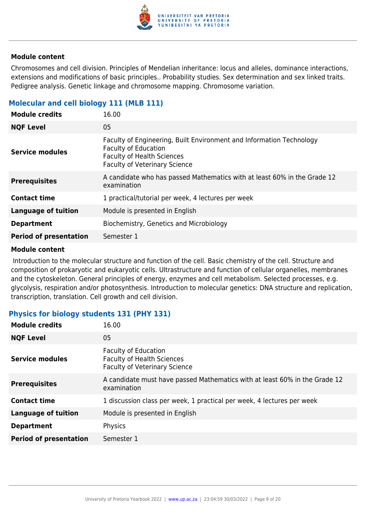

Chromosomes and cell division. Principles of Mendelian inheritance: locus and alleles, dominance interactions, extensions and modifications of basic principles.. Probability studies. Sex determination and sex linked traits. Pedigree analysis. Genetic linkage and chromosome mapping. Chromosome variation.

### **Molecular and cell biology 111 (MLB 111)**

| <b>Module credits</b>         | 16.00                                                                                                                                                                            |
|-------------------------------|----------------------------------------------------------------------------------------------------------------------------------------------------------------------------------|
| <b>NQF Level</b>              | 05                                                                                                                                                                               |
| <b>Service modules</b>        | Faculty of Engineering, Built Environment and Information Technology<br><b>Faculty of Education</b><br><b>Faculty of Health Sciences</b><br><b>Faculty of Veterinary Science</b> |
| <b>Prerequisites</b>          | A candidate who has passed Mathematics with at least 60% in the Grade 12<br>examination                                                                                          |
| <b>Contact time</b>           | 1 practical/tutorial per week, 4 lectures per week                                                                                                                               |
| <b>Language of tuition</b>    | Module is presented in English                                                                                                                                                   |
| <b>Department</b>             | Biochemistry, Genetics and Microbiology                                                                                                                                          |
| <b>Period of presentation</b> | Semester 1                                                                                                                                                                       |

#### **Module content**

 Introduction to the molecular structure and function of the cell. Basic chemistry of the cell. Structure and composition of prokaryotic and eukaryotic cells. Ultrastructure and function of cellular organelles, membranes and the cytoskeleton. General principles of energy, enzymes and cell metabolism. Selected processes, e.g. glycolysis, respiration and/or photosynthesis. Introduction to molecular genetics: DNA structure and replication, transcription, translation. Cell growth and cell division.

#### **Physics for biology students 131 (PHY 131)**

| <b>Module credits</b>         | 16.00                                                                                                    |
|-------------------------------|----------------------------------------------------------------------------------------------------------|
| <b>NQF Level</b>              | 05                                                                                                       |
| <b>Service modules</b>        | <b>Faculty of Education</b><br><b>Faculty of Health Sciences</b><br><b>Faculty of Veterinary Science</b> |
| <b>Prerequisites</b>          | A candidate must have passed Mathematics with at least 60% in the Grade 12<br>examination                |
| <b>Contact time</b>           | 1 discussion class per week, 1 practical per week, 4 lectures per week                                   |
| <b>Language of tuition</b>    | Module is presented in English                                                                           |
| <b>Department</b>             | Physics                                                                                                  |
| <b>Period of presentation</b> | Semester 1                                                                                               |
|                               |                                                                                                          |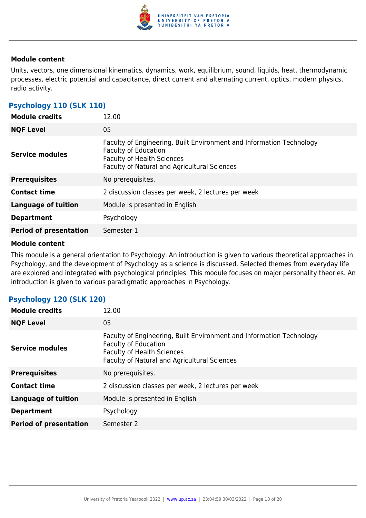

Units, vectors, one dimensional kinematics, dynamics, work, equilibrium, sound, liquids, heat, thermodynamic processes, electric potential and capacitance, direct current and alternating current, optics, modern physics, radio activity.

#### **Psychology 110 (SLK 110)**

| <b>Module credits</b>         | 12.00                                                                                                                                                                                    |
|-------------------------------|------------------------------------------------------------------------------------------------------------------------------------------------------------------------------------------|
| <b>NQF Level</b>              | 05                                                                                                                                                                                       |
| Service modules               | Faculty of Engineering, Built Environment and Information Technology<br><b>Faculty of Education</b><br><b>Faculty of Health Sciences</b><br>Faculty of Natural and Agricultural Sciences |
| <b>Prerequisites</b>          | No prerequisites.                                                                                                                                                                        |
| <b>Contact time</b>           | 2 discussion classes per week, 2 lectures per week                                                                                                                                       |
| Language of tuition           | Module is presented in English                                                                                                                                                           |
| <b>Department</b>             | Psychology                                                                                                                                                                               |
| <b>Period of presentation</b> | Semester 1                                                                                                                                                                               |

#### **Module content**

This module is a general orientation to Psychology. An introduction is given to various theoretical approaches in Psychology, and the development of Psychology as a science is discussed. Selected themes from everyday life are explored and integrated with psychological principles. This module focuses on major personality theories. An introduction is given to various paradigmatic approaches in Psychology.

| <b>Module credits</b>         | 12.00                                                                                                                                                                                    |
|-------------------------------|------------------------------------------------------------------------------------------------------------------------------------------------------------------------------------------|
| <b>NQF Level</b>              | 05                                                                                                                                                                                       |
| <b>Service modules</b>        | Faculty of Engineering, Built Environment and Information Technology<br><b>Faculty of Education</b><br><b>Faculty of Health Sciences</b><br>Faculty of Natural and Agricultural Sciences |
| <b>Prerequisites</b>          | No prerequisites.                                                                                                                                                                        |
| <b>Contact time</b>           | 2 discussion classes per week, 2 lectures per week                                                                                                                                       |
| Language of tuition           | Module is presented in English                                                                                                                                                           |
| <b>Department</b>             | Psychology                                                                                                                                                                               |
| <b>Period of presentation</b> | Semester 2                                                                                                                                                                               |

# **Psychology 120 (SLK 120)**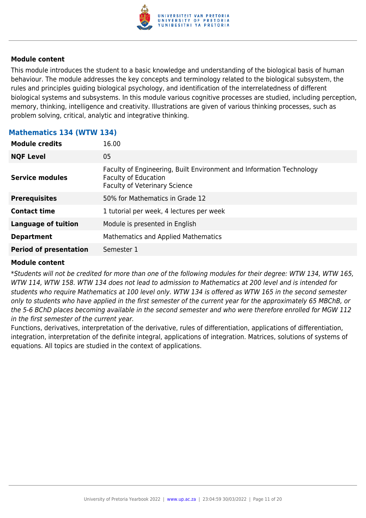

This module introduces the student to a basic knowledge and understanding of the biological basis of human behaviour. The module addresses the key concepts and terminology related to the biological subsystem, the rules and principles guiding biological psychology, and identification of the interrelatedness of different biological systems and subsystems. In this module various cognitive processes are studied, including perception, memory, thinking, intelligence and creativity. Illustrations are given of various thinking processes, such as problem solving, critical, analytic and integrative thinking.

#### **Mathematics 134 (WTW 134)**

| <b>Module credits</b>         | 16.00                                                                                                                                       |
|-------------------------------|---------------------------------------------------------------------------------------------------------------------------------------------|
| <b>NQF Level</b>              | 05                                                                                                                                          |
| <b>Service modules</b>        | Faculty of Engineering, Built Environment and Information Technology<br><b>Faculty of Education</b><br><b>Faculty of Veterinary Science</b> |
| <b>Prerequisites</b>          | 50% for Mathematics in Grade 12                                                                                                             |
| <b>Contact time</b>           | 1 tutorial per week, 4 lectures per week                                                                                                    |
| <b>Language of tuition</b>    | Module is presented in English                                                                                                              |
| <b>Department</b>             | <b>Mathematics and Applied Mathematics</b>                                                                                                  |
| <b>Period of presentation</b> | Semester 1                                                                                                                                  |

#### **Module content**

\*Students will not be credited for more than one of the following modules for their degree: WTW 134, WTW 165, WTW 114, WTW 158. WTW 134 does not lead to admission to Mathematics at 200 level and is intended for students who require Mathematics at 100 level only. WTW 134 is offered as WTW 165 in the second semester only to students who have applied in the first semester of the current year for the approximately 65 MBChB, or the 5-6 BChD places becoming available in the second semester and who were therefore enrolled for MGW 112 in the first semester of the current year.

Functions, derivatives, interpretation of the derivative, rules of differentiation, applications of differentiation, integration, interpretation of the definite integral, applications of integration. Matrices, solutions of systems of equations. All topics are studied in the context of applications.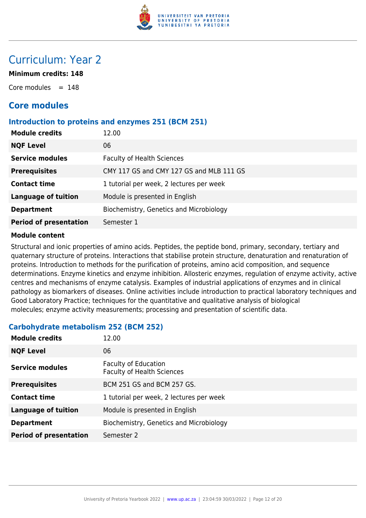

# Curriculum: Year 2

#### **Minimum credits: 148**

Core modules  $= 148$ 

# **Core modules**

#### **Introduction to proteins and enzymes 251 (BCM 251)**

| <b>Module credits</b>         | 12.00                                    |
|-------------------------------|------------------------------------------|
| <b>NQF Level</b>              | 06                                       |
| <b>Service modules</b>        | <b>Faculty of Health Sciences</b>        |
| <b>Prerequisites</b>          | CMY 117 GS and CMY 127 GS and MLB 111 GS |
| <b>Contact time</b>           | 1 tutorial per week, 2 lectures per week |
| <b>Language of tuition</b>    | Module is presented in English           |
| <b>Department</b>             | Biochemistry, Genetics and Microbiology  |
| <b>Period of presentation</b> | Semester 1                               |

#### **Module content**

Structural and ionic properties of amino acids. Peptides, the peptide bond, primary, secondary, tertiary and quaternary structure of proteins. Interactions that stabilise protein structure, denaturation and renaturation of proteins. Introduction to methods for the purification of proteins, amino acid composition, and sequence determinations. Enzyme kinetics and enzyme inhibition. Allosteric enzymes, regulation of enzyme activity, active centres and mechanisms of enzyme catalysis. Examples of industrial applications of enzymes and in clinical pathology as biomarkers of diseases. Online activities include introduction to practical laboratory techniques and Good Laboratory Practice; techniques for the quantitative and qualitative analysis of biological molecules; enzyme activity measurements; processing and presentation of scientific data.

#### **Carbohydrate metabolism 252 (BCM 252)**

| <b>Module credits</b>         | 12.00                                                            |
|-------------------------------|------------------------------------------------------------------|
| <b>NQF Level</b>              | 06                                                               |
| <b>Service modules</b>        | <b>Faculty of Education</b><br><b>Faculty of Health Sciences</b> |
| <b>Prerequisites</b>          | BCM 251 GS and BCM 257 GS.                                       |
| <b>Contact time</b>           | 1 tutorial per week, 2 lectures per week                         |
| <b>Language of tuition</b>    | Module is presented in English                                   |
| <b>Department</b>             | Biochemistry, Genetics and Microbiology                          |
| <b>Period of presentation</b> | Semester 2                                                       |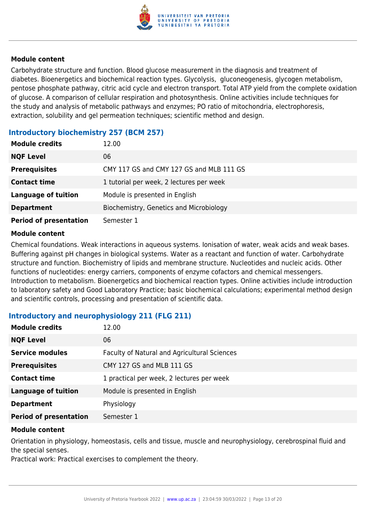

Carbohydrate structure and function. Blood glucose measurement in the diagnosis and treatment of diabetes. Bioenergetics and biochemical reaction types. Glycolysis, gluconeogenesis, glycogen metabolism, pentose phosphate pathway, citric acid cycle and electron transport. Total ATP yield from the complete oxidation of glucose. A comparison of cellular respiration and photosynthesis. Online activities include techniques for the study and analysis of metabolic pathways and enzymes; PO ratio of mitochondria, electrophoresis, extraction, solubility and gel permeation techniques; scientific method and design.

### **Introductory biochemistry 257 (BCM 257)**

| <b>Module credits</b>         | 12.00                                    |
|-------------------------------|------------------------------------------|
| <b>NQF Level</b>              | 06                                       |
| <b>Prerequisites</b>          | CMY 117 GS and CMY 127 GS and MLB 111 GS |
| <b>Contact time</b>           | 1 tutorial per week, 2 lectures per week |
| <b>Language of tuition</b>    | Module is presented in English           |
| <b>Department</b>             | Biochemistry, Genetics and Microbiology  |
| <b>Period of presentation</b> | Semester 1                               |

#### **Module content**

Chemical foundations. Weak interactions in aqueous systems. Ionisation of water, weak acids and weak bases. Buffering against pH changes in biological systems. Water as a reactant and function of water. Carbohydrate structure and function. Biochemistry of lipids and membrane structure. Nucleotides and nucleic acids. Other functions of nucleotides: energy carriers, components of enzyme cofactors and chemical messengers. Introduction to metabolism. Bioenergetics and biochemical reaction types. Online activities include introduction to laboratory safety and Good Laboratory Practice; basic biochemical calculations; experimental method design and scientific controls, processing and presentation of scientific data.

#### **Introductory and neurophysiology 211 (FLG 211)**

| <b>Module credits</b>         | 12.00                                        |
|-------------------------------|----------------------------------------------|
| <b>NQF Level</b>              | 06                                           |
| <b>Service modules</b>        | Faculty of Natural and Agricultural Sciences |
| <b>Prerequisites</b>          | CMY 127 GS and MLB 111 GS                    |
| <b>Contact time</b>           | 1 practical per week, 2 lectures per week    |
| <b>Language of tuition</b>    | Module is presented in English               |
| <b>Department</b>             | Physiology                                   |
| <b>Period of presentation</b> | Semester 1                                   |

#### **Module content**

Orientation in physiology, homeostasis, cells and tissue, muscle and neurophysiology, cerebrospinal fluid and the special senses.

Practical work: Practical exercises to complement the theory.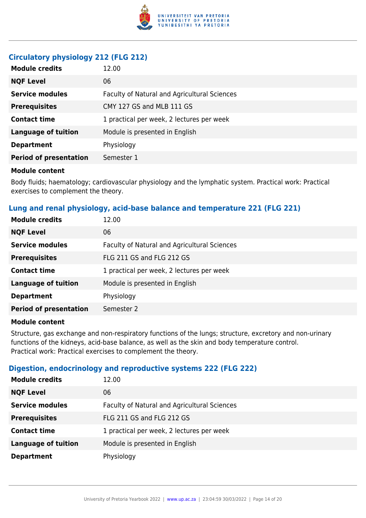

### **Circulatory physiology 212 (FLG 212)**

| <b>Module credits</b>         | 12.00                                        |
|-------------------------------|----------------------------------------------|
| <b>NQF Level</b>              | 06                                           |
| <b>Service modules</b>        | Faculty of Natural and Agricultural Sciences |
| <b>Prerequisites</b>          | CMY 127 GS and MLB 111 GS                    |
| <b>Contact time</b>           | 1 practical per week, 2 lectures per week    |
| <b>Language of tuition</b>    | Module is presented in English               |
| <b>Department</b>             | Physiology                                   |
| <b>Period of presentation</b> | Semester 1                                   |

#### **Module content**

Body fluids; haematology; cardiovascular physiology and the lymphatic system. Practical work: Practical exercises to complement the theory.

#### **Lung and renal physiology, acid-base balance and temperature 221 (FLG 221)**

| <b>Module credits</b>         | 12.00                                        |
|-------------------------------|----------------------------------------------|
| <b>NQF Level</b>              | 06                                           |
| <b>Service modules</b>        | Faculty of Natural and Agricultural Sciences |
| <b>Prerequisites</b>          | FLG 211 GS and FLG 212 GS                    |
| <b>Contact time</b>           | 1 practical per week, 2 lectures per week    |
| <b>Language of tuition</b>    | Module is presented in English               |
| <b>Department</b>             | Physiology                                   |
| <b>Period of presentation</b> | Semester 2                                   |

#### **Module content**

Structure, gas exchange and non-respiratory functions of the lungs; structure, excretory and non-urinary functions of the kidneys, acid-base balance, as well as the skin and body temperature control. Practical work: Practical exercises to complement the theory.

#### **Digestion, endocrinology and reproductive systems 222 (FLG 222)**

| <b>Module credits</b>      | 12.00                                        |
|----------------------------|----------------------------------------------|
| <b>NQF Level</b>           | 06                                           |
| <b>Service modules</b>     | Faculty of Natural and Agricultural Sciences |
| <b>Prerequisites</b>       | FLG 211 GS and FLG 212 GS                    |
| <b>Contact time</b>        | 1 practical per week, 2 lectures per week    |
| <b>Language of tuition</b> | Module is presented in English               |
| <b>Department</b>          | Physiology                                   |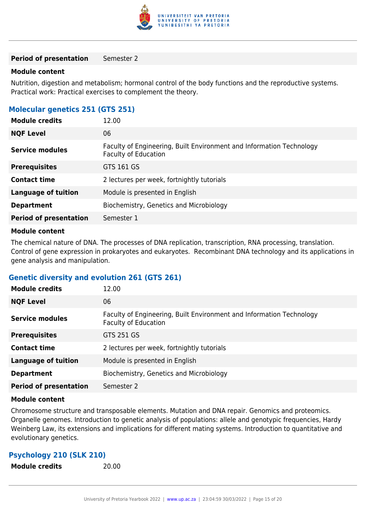

**Period of presentation** Semester 2

#### **Module content**

Nutrition, digestion and metabolism; hormonal control of the body functions and the reproductive systems. Practical work: Practical exercises to complement the theory.

## **Molecular genetics 251 (GTS 251)**

| <b>Module credits</b>         | 12.00                                                                                               |
|-------------------------------|-----------------------------------------------------------------------------------------------------|
| <b>NQF Level</b>              | 06                                                                                                  |
| <b>Service modules</b>        | Faculty of Engineering, Built Environment and Information Technology<br><b>Faculty of Education</b> |
| <b>Prerequisites</b>          | GTS 161 GS                                                                                          |
| <b>Contact time</b>           | 2 lectures per week, fortnightly tutorials                                                          |
| <b>Language of tuition</b>    | Module is presented in English                                                                      |
| <b>Department</b>             | Biochemistry, Genetics and Microbiology                                                             |
| <b>Period of presentation</b> | Semester 1                                                                                          |
|                               |                                                                                                     |

#### **Module content**

The chemical nature of DNA. The processes of DNA replication, transcription, RNA processing, translation. Control of gene expression in prokaryotes and eukaryotes. Recombinant DNA technology and its applications in gene analysis and manipulation.

#### **Genetic diversity and evolution 261 (GTS 261)**

| <b>Module credits</b>         | 12.00                                                                                               |
|-------------------------------|-----------------------------------------------------------------------------------------------------|
| <b>NQF Level</b>              | 06                                                                                                  |
| Service modules               | Faculty of Engineering, Built Environment and Information Technology<br><b>Faculty of Education</b> |
| <b>Prerequisites</b>          | GTS 251 GS                                                                                          |
| <b>Contact time</b>           | 2 lectures per week, fortnightly tutorials                                                          |
| <b>Language of tuition</b>    | Module is presented in English                                                                      |
| <b>Department</b>             | Biochemistry, Genetics and Microbiology                                                             |
| <b>Period of presentation</b> | Semester 2                                                                                          |

#### **Module content**

Chromosome structure and transposable elements. Mutation and DNA repair. Genomics and proteomics. Organelle genomes. Introduction to genetic analysis of populations: allele and genotypic frequencies, Hardy Weinberg Law, its extensions and implications for different mating systems. Introduction to quantitative and evolutionary genetics.

#### **Psychology 210 (SLK 210)**

**Module credits** 20.00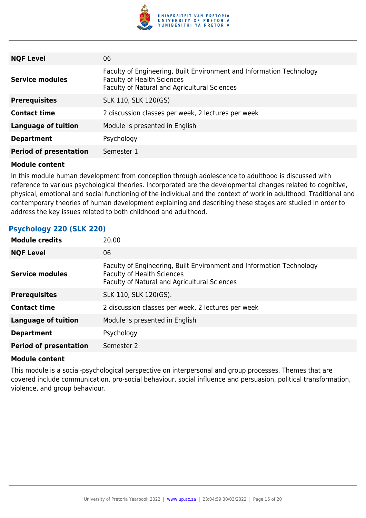

| <b>NQF Level</b>              | 06                                                                                                                                                        |
|-------------------------------|-----------------------------------------------------------------------------------------------------------------------------------------------------------|
| <b>Service modules</b>        | Faculty of Engineering, Built Environment and Information Technology<br><b>Faculty of Health Sciences</b><br>Faculty of Natural and Agricultural Sciences |
| <b>Prerequisites</b>          | SLK 110, SLK 120(GS)                                                                                                                                      |
| <b>Contact time</b>           | 2 discussion classes per week, 2 lectures per week                                                                                                        |
| <b>Language of tuition</b>    | Module is presented in English                                                                                                                            |
| <b>Department</b>             | Psychology                                                                                                                                                |
| <b>Period of presentation</b> | Semester 1                                                                                                                                                |

In this module human development from conception through adolescence to adulthood is discussed with reference to various psychological theories. Incorporated are the developmental changes related to cognitive, physical, emotional and social functioning of the individual and the context of work in adulthood. Traditional and contemporary theories of human development explaining and describing these stages are studied in order to address the key issues related to both childhood and adulthood.

### **Psychology 220 (SLK 220)**

| <b>Module credits</b>         | 20.00                                                                                                                                                     |
|-------------------------------|-----------------------------------------------------------------------------------------------------------------------------------------------------------|
| <b>NQF Level</b>              | 06                                                                                                                                                        |
| <b>Service modules</b>        | Faculty of Engineering, Built Environment and Information Technology<br><b>Faculty of Health Sciences</b><br>Faculty of Natural and Agricultural Sciences |
| <b>Prerequisites</b>          | SLK 110, SLK 120(GS).                                                                                                                                     |
| <b>Contact time</b>           | 2 discussion classes per week, 2 lectures per week                                                                                                        |
| <b>Language of tuition</b>    | Module is presented in English                                                                                                                            |
| <b>Department</b>             | Psychology                                                                                                                                                |
| <b>Period of presentation</b> | Semester 2                                                                                                                                                |

#### **Module content**

This module is a social-psychological perspective on interpersonal and group processes. Themes that are covered include communication, pro-social behaviour, social influence and persuasion, political transformation, violence, and group behaviour.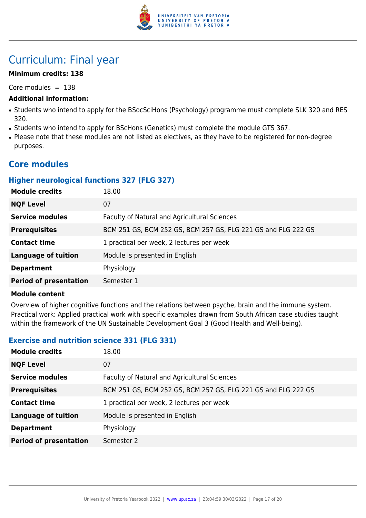

# Curriculum: Final year

#### **Minimum credits: 138**

Core modules  $= 138$ 

#### **Additional information:**

- Students who intend to apply for the BSocSciHons (Psychology) programme must complete SLK 320 and RES 320.
- Students who intend to apply for BScHons (Genetics) must complete the module GTS 367.
- Please note that these modules are not listed as electives, as they have to be registered for non-degree purposes.

# **Core modules**

### **Higher neurological functions 327 (FLG 327)**

| <b>Module credits</b>         | 18.00                                                         |
|-------------------------------|---------------------------------------------------------------|
| <b>NQF Level</b>              | 07                                                            |
| <b>Service modules</b>        | Faculty of Natural and Agricultural Sciences                  |
| <b>Prerequisites</b>          | BCM 251 GS, BCM 252 GS, BCM 257 GS, FLG 221 GS and FLG 222 GS |
| <b>Contact time</b>           | 1 practical per week, 2 lectures per week                     |
| <b>Language of tuition</b>    | Module is presented in English                                |
| <b>Department</b>             | Physiology                                                    |
| <b>Period of presentation</b> | Semester 1                                                    |

#### **Module content**

Overview of higher cognitive functions and the relations between psyche, brain and the immune system. Practical work: Applied practical work with specific examples drawn from South African case studies taught within the framework of the UN Sustainable Development Goal 3 (Good Health and Well-being).

## **Exercise and nutrition science 331 (FLG 331)**

| <b>Module credits</b>         | 18.00                                                         |
|-------------------------------|---------------------------------------------------------------|
| <b>NQF Level</b>              | 07                                                            |
| Service modules               | Faculty of Natural and Agricultural Sciences                  |
| <b>Prerequisites</b>          | BCM 251 GS, BCM 252 GS, BCM 257 GS, FLG 221 GS and FLG 222 GS |
| <b>Contact time</b>           | 1 practical per week, 2 lectures per week                     |
| <b>Language of tuition</b>    | Module is presented in English                                |
| <b>Department</b>             | Physiology                                                    |
| <b>Period of presentation</b> | Semester 2                                                    |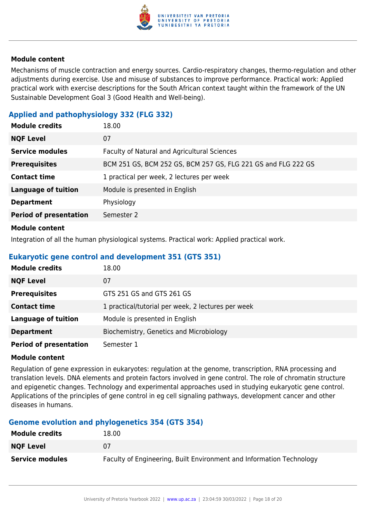

Mechanisms of muscle contraction and energy sources. Cardio-respiratory changes, thermo-regulation and other adjustments during exercise. Use and misuse of substances to improve performance. Practical work: Applied practical work with exercise descriptions for the South African context taught within the framework of the UN Sustainable Development Goal 3 (Good Health and Well-being).

# **Applied and pathophysiology 332 (FLG 332)**

| <b>Module credits</b>         | 18.00                                                         |
|-------------------------------|---------------------------------------------------------------|
| <b>NQF Level</b>              | 07                                                            |
| <b>Service modules</b>        | Faculty of Natural and Agricultural Sciences                  |
| <b>Prerequisites</b>          | BCM 251 GS, BCM 252 GS, BCM 257 GS, FLG 221 GS and FLG 222 GS |
| <b>Contact time</b>           | 1 practical per week, 2 lectures per week                     |
| <b>Language of tuition</b>    | Module is presented in English                                |
| <b>Department</b>             | Physiology                                                    |
| <b>Period of presentation</b> | Semester 2                                                    |
| <b>Module content</b>         |                                                               |

Integration of all the human physiological systems. Practical work: Applied practical work.

## **Eukaryotic gene control and development 351 (GTS 351)**

| <b>Module credits</b>         | 18.00                                              |
|-------------------------------|----------------------------------------------------|
| <b>NQF Level</b>              | 07                                                 |
| <b>Prerequisites</b>          | GTS 251 GS and GTS 261 GS                          |
| <b>Contact time</b>           | 1 practical/tutorial per week, 2 lectures per week |
| <b>Language of tuition</b>    | Module is presented in English                     |
| <b>Department</b>             | Biochemistry, Genetics and Microbiology            |
| <b>Period of presentation</b> | Semester 1                                         |

#### **Module content**

Regulation of gene expression in eukaryotes: regulation at the genome, transcription, RNA processing and translation levels. DNA elements and protein factors involved in gene control. The role of chromatin structure and epigenetic changes. Technology and experimental approaches used in studying eukaryotic gene control. Applications of the principles of gene control in eg cell signaling pathways, development cancer and other diseases in humans.

## **Genome evolution and phylogenetics 354 (GTS 354)**

| <b>Module credits</b>  | 18.00                                                                |
|------------------------|----------------------------------------------------------------------|
| <b>NQF Level</b>       | 07                                                                   |
| <b>Service modules</b> | Faculty of Engineering, Built Environment and Information Technology |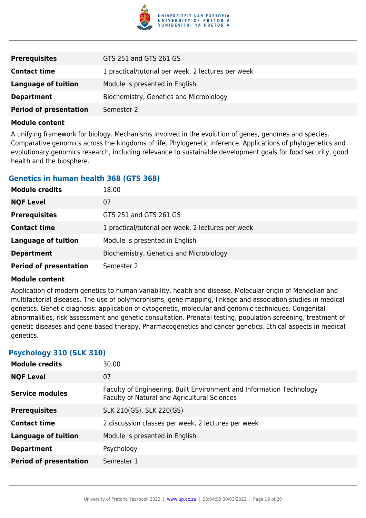

| <b>Prerequisites</b>          | GTS 251 and GTS 261 GS                             |
|-------------------------------|----------------------------------------------------|
| <b>Contact time</b>           | 1 practical/tutorial per week, 2 lectures per week |
| Language of tuition           | Module is presented in English                     |
| <b>Department</b>             | Biochemistry, Genetics and Microbiology            |
| <b>Period of presentation</b> | Semester 2                                         |

A unifying framework for biology. Mechanisms involved in the evolution of genes, genomes and species. Comparative genomics across the kingdoms of life. Phylogenetic inference. Applications of phylogenetics and evolutionary genomics research, including relevance to sustainable development goals for food security, good health and the biosphere.

#### **Genetics in human health 368 (GTS 368)**

| <b>Module credits</b>         | 18.00                                              |
|-------------------------------|----------------------------------------------------|
| <b>NQF Level</b>              | 07                                                 |
| <b>Prerequisites</b>          | GTS 251 and GTS 261 GS                             |
| <b>Contact time</b>           | 1 practical/tutorial per week, 2 lectures per week |
| <b>Language of tuition</b>    | Module is presented in English                     |
| <b>Department</b>             | Biochemistry, Genetics and Microbiology            |
| <b>Period of presentation</b> | Semester 2                                         |

#### **Module content**

Application of modern genetics to human variability, health and disease. Molecular origin of Mendelian and multifactorial diseases. The use of polymorphisms, gene mapping, linkage and association studies in medical genetics. Genetic diagnosis: application of cytogenetic, molecular and genomic techniques. Congenital abnormalities, risk assessment and genetic consultation. Prenatal testing, population screening, treatment of genetic diseases and gene-based therapy. Pharmacogenetics and cancer genetics. Ethical aspects in medical genetics.

#### **Psychology 310 (SLK 310)**

| <b>Module credits</b>         | 30.00                                                                                                                |
|-------------------------------|----------------------------------------------------------------------------------------------------------------------|
| <b>NQF Level</b>              | 07                                                                                                                   |
| Service modules               | Faculty of Engineering, Built Environment and Information Technology<br>Faculty of Natural and Agricultural Sciences |
| <b>Prerequisites</b>          | SLK 210(GS), SLK 220(GS)                                                                                             |
| <b>Contact time</b>           | 2 discussion classes per week, 2 lectures per week                                                                   |
| <b>Language of tuition</b>    | Module is presented in English                                                                                       |
| <b>Department</b>             | Psychology                                                                                                           |
| <b>Period of presentation</b> | Semester 1                                                                                                           |